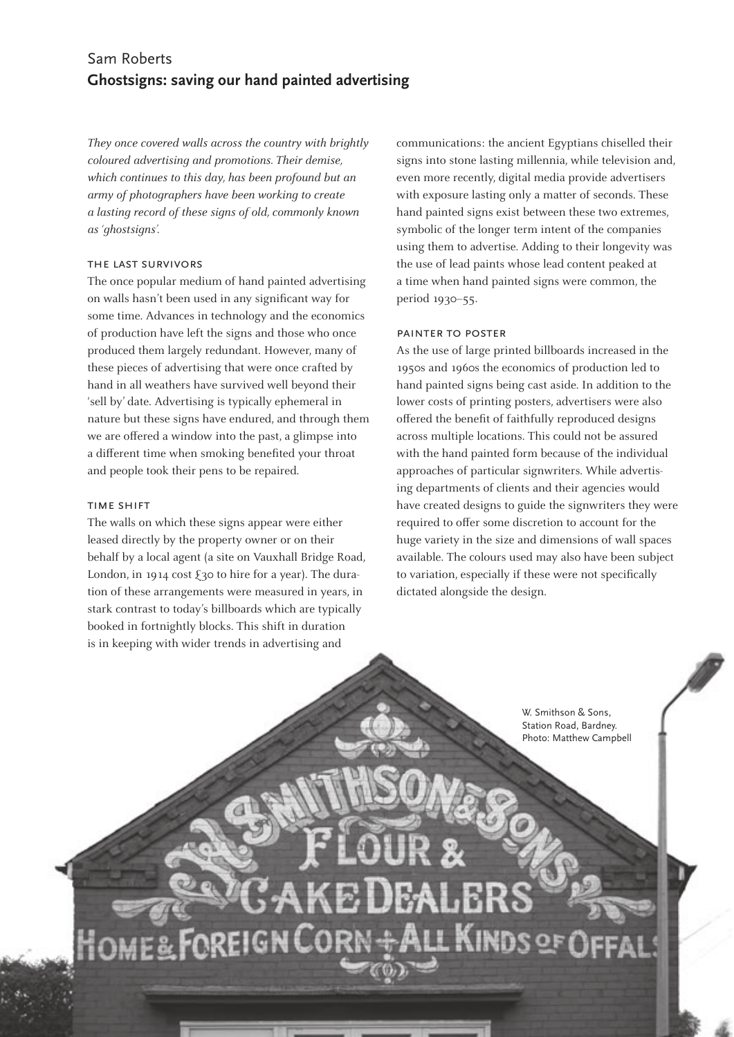# Sam Roberts **Ghostsigns: saving our hand painted advertising**

*They once covered walls across the country with brightly coloured advertising and promotions. Their demise, which continues to this day, has been profound but an army of photographers have been working to create a lasting record of these signs of old, commonly known as 'ghostsigns'.* 

## the last survivors

The once popular medium of hand painted advertising on walls hasn't been used in any significant way for some time. Advances in technology and the economics of production have left the signs and those who once produced them largely redundant. However, many of these pieces of advertising that were once crafted by hand in all weathers have survived well beyond their 'sell by' date. Advertising is typically ephemeral in nature but these signs have endured, and through them we are offered a window into the past, a glimpse into a different time when smoking benefited your throat and people took their pens to be repaired.

#### time shift

The walls on which these signs appear were either leased directly by the property owner or on their behalf by a local agent (a site on Vauxhall Bridge Road, London, in 1914 cost  $\xi$ 30 to hire for a year). The duration of these arrangements were measured in years, in stark contrast to today's billboards which are typically booked in fortnightly blocks. This shift in duration is in keeping with wider trends in advertising and

communications: the ancient Egyptians chiselled their signs into stone lasting millennia, while television and, even more recently, digital media provide advertisers with exposure lasting only a matter of seconds. These hand painted signs exist between these two extremes, symbolic of the longer term intent of the companies using them to advertise. Adding to their longevity was the use of lead paints whose lead content peaked at a time when hand painted signs were common, the period 1930–55.

## painter to poster

As the use of large printed billboards increased in the 1950s and 1960s the economics of production led to hand painted signs being cast aside. In addition to the lower costs of printing posters, advertisers were also offered the benefit of faithfully reproduced designs across multiple locations. This could not be assured with the hand painted form because of the individual approaches of particular signwriters. While advertising departments of clients and their agencies would have created designs to guide the signwriters they were required to offer some discretion to account for the huge variety in the size and dimensions of wall spaces available. The colours used may also have been subject to variation, especially if these were not specifically dictated alongside the design.

> W. Smithson & Sons, Station Road, Bardney. Photo: Matthew Campbell

R OF ίGΙ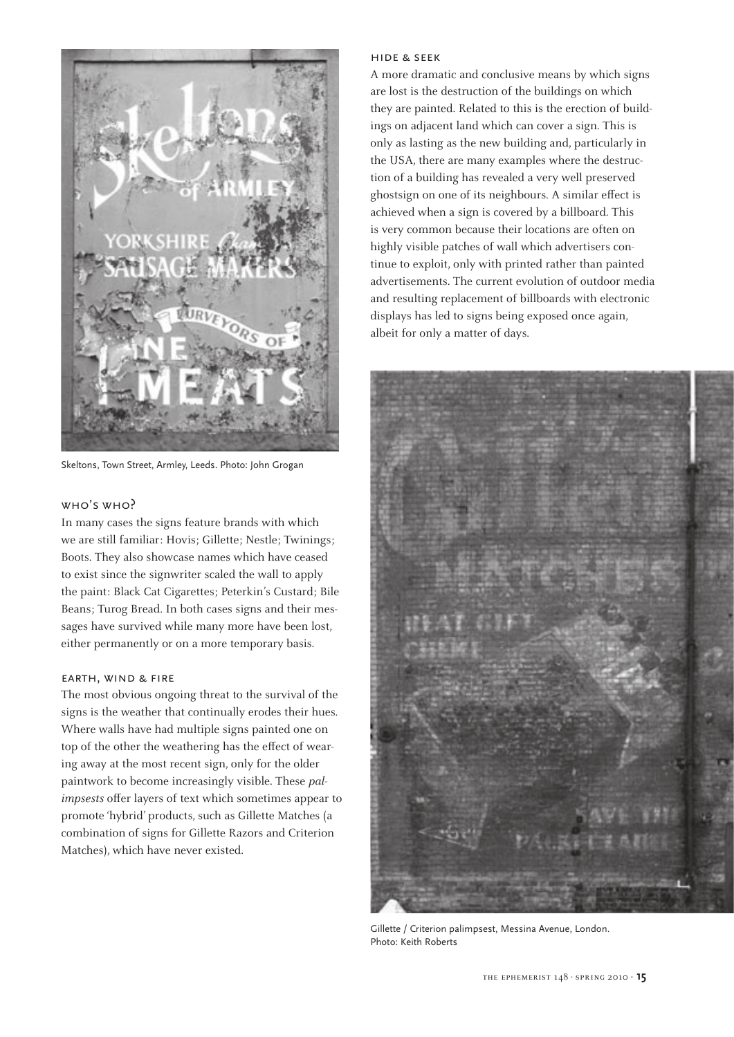

Skeltons, Town Street, Armley, Leeds. Photo: John Grogan

#### who's who?

In many cases the signs feature brands with which we are still familiar: Hovis; Gillette; Nestle; Twinings; Boots. They also showcase names which have ceased to exist since the signwriter scaled the wall to apply the paint: Black Cat Cigarettes; Peterkin's Custard; Bile Beans; Turog Bread. In both cases signs and their messages have survived while many more have been lost, either permanently or on a more temporary basis.

#### earth, wind & fire

The most obvious ongoing threat to the survival of the signs is the weather that continually erodes their hues. Where walls have had multiple signs painted one on top of the other the weathering has the effect of wearing away at the most recent sign, only for the older paintwork to become increasingly visible. These *palimpsests* offer layers of text which sometimes appear to promote 'hybrid' products, such as Gillette Matches (a combination of signs for Gillette Razors and Criterion Matches), which have never existed.

#### hide & seek

A more dramatic and conclusive means by which signs are lost is the destruction of the buildings on which they are painted. Related to this is the erection of buildings on adjacent land which can cover a sign. This is only as lasting as the new building and, particularly in the USA, there are many examples where the destruction of a building has revealed a very well preserved ghostsign on one of its neighbours. A similar effect is achieved when a sign is covered by a billboard. This is very common because their locations are often on highly visible patches of wall which advertisers continue to exploit, only with printed rather than painted advertisements. The current evolution of outdoor media and resulting replacement of billboards with electronic displays has led to signs being exposed once again, albeit for only a matter of days.



Gillette / Criterion palimpsest, Messina Avenue, London. Photo: Keith Roberts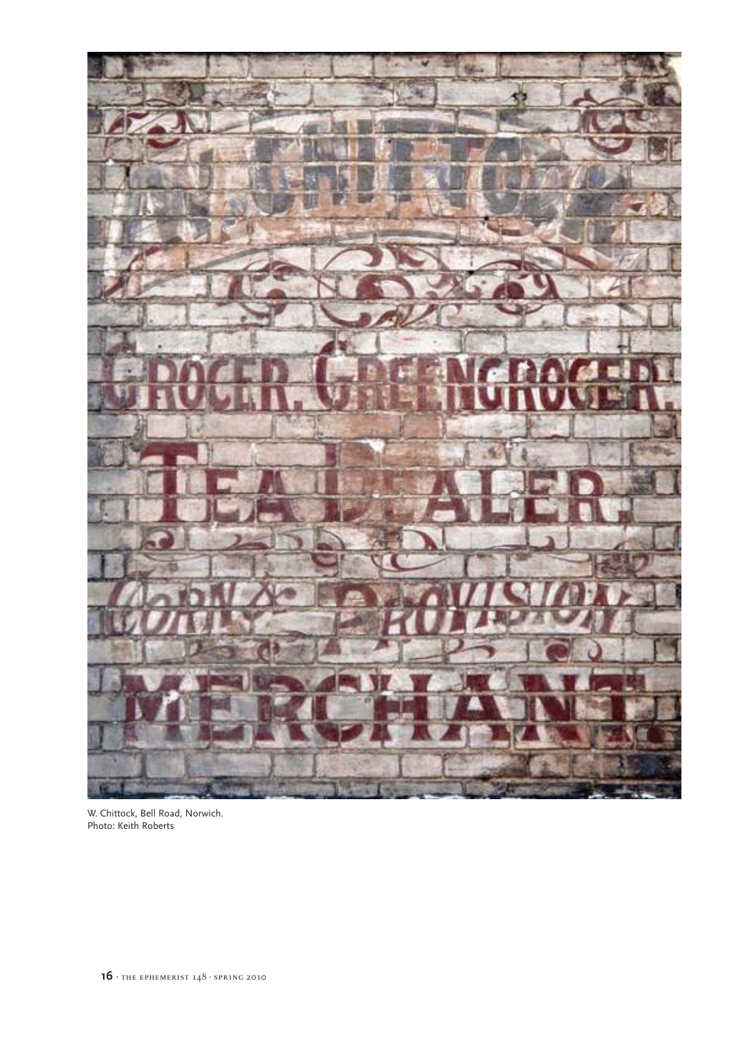

W. Chittock, Bell Road, Norwich. Photo: Keith Roberts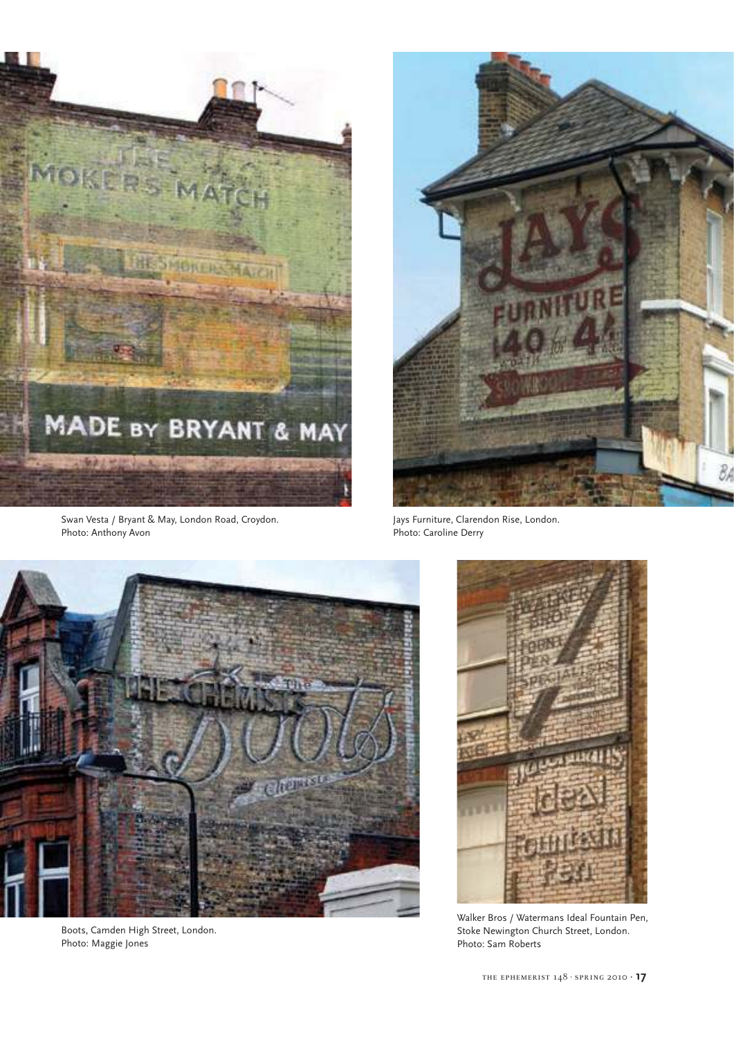

Swan Vesta / Bryant & May, London Road, Croydon. Photo: Anthony Avon



Jays Furniture, Clarendon Rise, London. Photo: Caroline Derry



Boots, Camden High Street, London. Photo: Maggie Jones



Walker Bros / Watermans Ideal Fountain Pen, Stoke Newington Church Street, London. Photo: Sam Roberts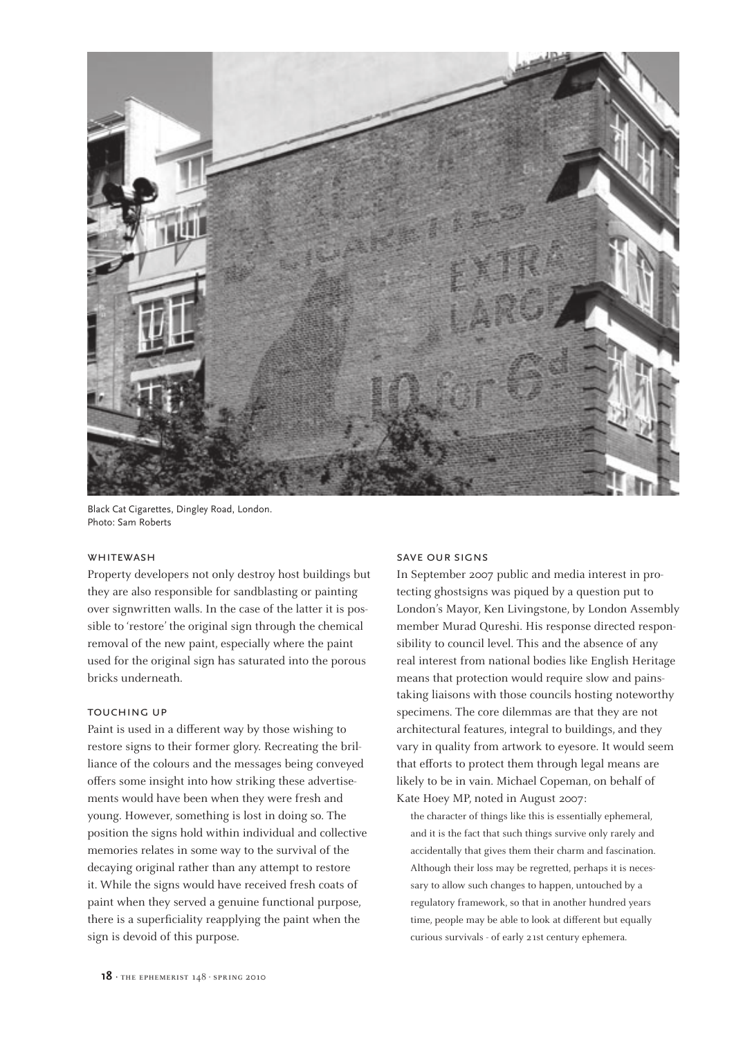

Black Cat Cigarettes, Dingley Road, London. Photo: Sam Roberts

## WHITEWASH

Property developers not only destroy host buildings but they are also responsible for sandblasting or painting over signwritten walls. In the case of the latter it is possible to 'restore' the original sign through the chemical removal of the new paint, especially where the paint used for the original sign has saturated into the porous bricks underneath.

### touching up

Paint is used in a different way by those wishing to restore signs to their former glory. Recreating the brilliance of the colours and the messages being conveyed offers some insight into how striking these advertisements would have been when they were fresh and young. However, something is lost in doing so. The position the signs hold within individual and collective memories relates in some way to the survival of the decaying original rather than any attempt to restore it. While the signs would have received fresh coats of paint when they served a genuine functional purpose, there is a superficiality reapplying the paint when the sign is devoid of this purpose.

#### save our signs

In September 2007 public and media interest in protecting ghostsigns was piqued by a question put to London's Mayor, Ken Livingstone, by London Assembly member Murad Qureshi. His response directed responsibility to council level. This and the absence of any real interest from national bodies like English Heritage means that protection would require slow and painstaking liaisons with those councils hosting noteworthy specimens. The core dilemmas are that they are not architectural features, integral to buildings, and they vary in quality from artwork to eyesore. It would seem that efforts to protect them through legal means are likely to be in vain. Michael Copeman, on behalf of Kate Hoey MP, noted in August 2007:

the character of things like this is essentially ephemeral, and it is the fact that such things survive only rarely and accidentally that gives them their charm and fascination. Although their loss may be regretted, perhaps it is necessary to allow such changes to happen, untouched by a regulatory framework, so that in another hundred years time, people may be able to look at different but equally curious survivals - of early 21st century ephemera.